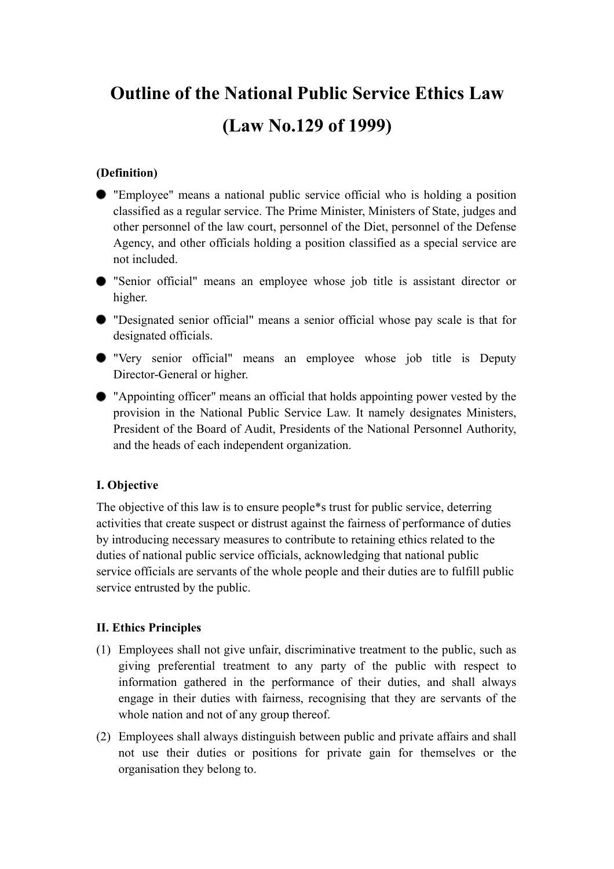# **Outline of the National Public Service Ethics Law (Law No.129 of 1999)**

# **(Definition)**

- "Employee" means a national public service official who is holding a position classified as a regular service. The Prime Minister, Ministers of State, judges and other personnel of the law court, personnel of the Diet, personnel of the Defense Agency, and other officials holding a position classified as a special service are not included.
- "Senior official" means an employee whose job title is assistant director or higher.
- "Designated senior official" means a senior official whose pay scale is that for designated officials.
- "Very senior official" means an employee whose job title is Deputy Director-General or higher.
- "Appointing officer" means an official that holds appointing power vested by the provision in the National Public Service Law. It namely designates Ministers, President of the Board of Audit, Presidents of the National Personnel Authority, and the heads of each independent organization.

# **I. Objective**

The objective of this law is to ensure people\*s trust for public service, deterring activities that create suspect or distrust against the fairness of performance of duties by introducing necessary measures to contribute to retaining ethics related to the duties of national public service officials, acknowledging that national public service officials are servants of the whole people and their duties are to fulfill public service entrusted by the public.

# **II. Ethics Principles**

- (1) Employees shall not give unfair, discriminative treatment to the public, such as giving preferential treatment to any party of the public with respect to information gathered in the performance of their duties, and shall always engage in their duties with fairness, recognising that they are servants of the whole nation and not of any group thereof.
- (2) Employees shall always distinguish between public and private affairs and shall not use their duties or positions for private gain for themselves or the organisation they belong to.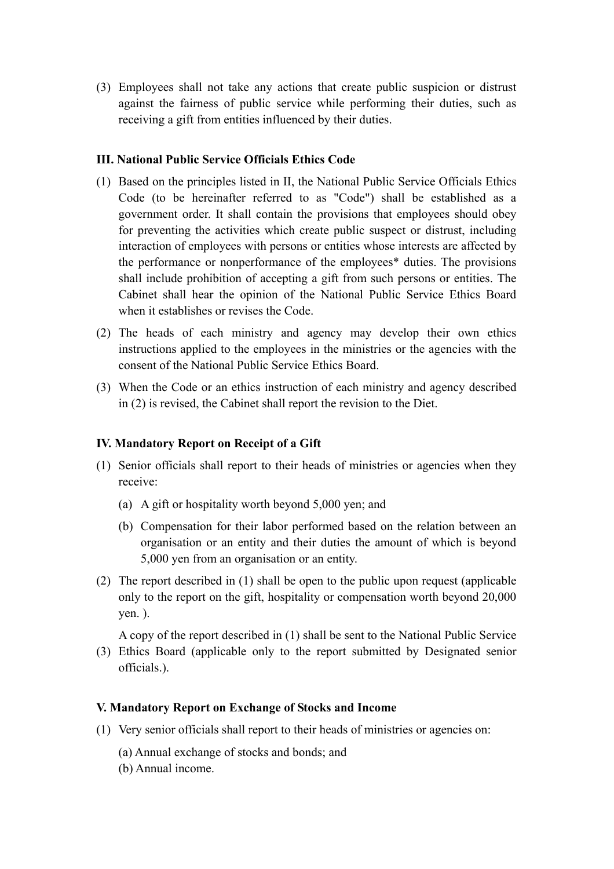(3) Employees shall not take any actions that create public suspicion or distrust against the fairness of public service while performing their duties, such as receiving a gift from entities influenced by their duties.

## **III. National Public Service Officials Ethics Code**

- (1) Based on the principles listed in II, the National Public Service Officials Ethics Code (to be hereinafter referred to as "Code") shall be established as a government order. It shall contain the provisions that employees should obey for preventing the activities which create public suspect or distrust, including interaction of employees with persons or entities whose interests are affected by the performance or nonperformance of the employees\* duties. The provisions shall include prohibition of accepting a gift from such persons or entities. The Cabinet shall hear the opinion of the National Public Service Ethics Board when it establishes or revises the Code.
- (2) The heads of each ministry and agency may develop their own ethics instructions applied to the employees in the ministries or the agencies with the consent of the National Public Service Ethics Board.
- (3) When the Code or an ethics instruction of each ministry and agency described in (2) is revised, the Cabinet shall report the revision to the Diet.

#### **IV. Mandatory Report on Receipt of a Gift**

- (1) Senior officials shall report to their heads of ministries or agencies when they receive:
	- (a) A gift or hospitality worth beyond 5,000 yen; and
	- (b) Compensation for their labor performed based on the relation between an organisation or an entity and their duties the amount of which is beyond 5,000 yen from an organisation or an entity.
- (2) The report described in (1) shall be open to the public upon request (applicable only to the report on the gift, hospitality or compensation worth beyond 20,000 yen. ).

A copy of the report described in (1) shall be sent to the National Public Service

(3) Ethics Board (applicable only to the report submitted by Designated senior officials.).

#### **V. Mandatory Report on Exchange of Stocks and Income**

- (1) Very senior officials shall report to their heads of ministries or agencies on:
	- (a) Annual exchange of stocks and bonds; and
	- (b) Annual income.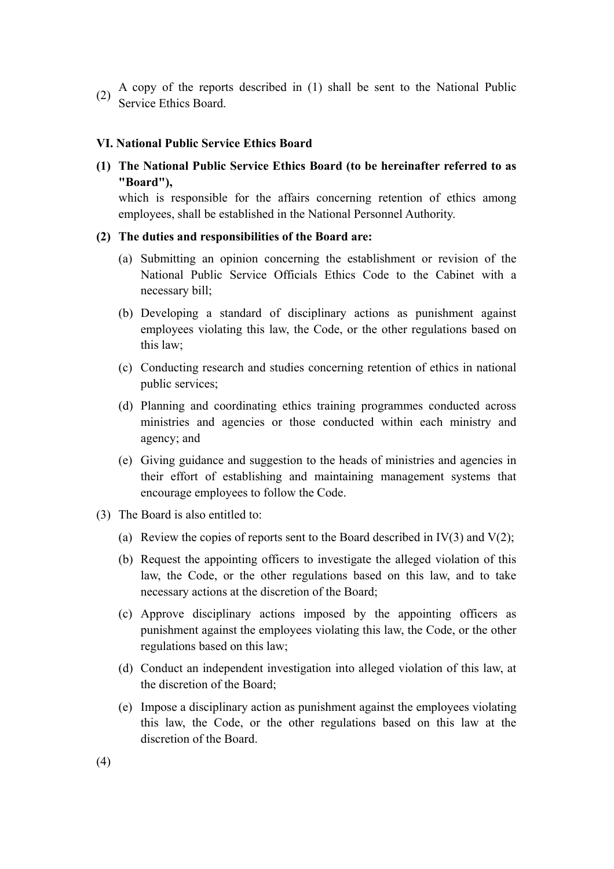(2) A copy of the reports described in (1) shall be sent to the National Public (2)  $\frac{A \cup p_j}{\text{Service Ethics Board}}$ .

#### **VI. National Public Service Ethics Board**

**(1) The National Public Service Ethics Board (to be hereinafter referred to as "Board"),**

which is responsible for the affairs concerning retention of ethics among employees, shall be established in the National Personnel Authority.

#### **(2) The duties and responsibilities of the Board are:**

- (a) Submitting an opinion concerning the establishment or revision of the National Public Service Officials Ethics Code to the Cabinet with a necessary bill;
- (b) Developing a standard of disciplinary actions as punishment against employees violating this law, the Code, or the other regulations based on this law;
- (c) Conducting research and studies concerning retention of ethics in national public services;
- (d) Planning and coordinating ethics training programmes conducted across ministries and agencies or those conducted within each ministry and agency; and
- (e) Giving guidance and suggestion to the heads of ministries and agencies in their effort of establishing and maintaining management systems that encourage employees to follow the Code.
- (3) The Board is also entitled to:
	- (a) Review the copies of reports sent to the Board described in IV(3) and V(2);
	- (b) Request the appointing officers to investigate the alleged violation of this law, the Code, or the other regulations based on this law, and to take necessary actions at the discretion of the Board;
	- (c) Approve disciplinary actions imposed by the appointing officers as punishment against the employees violating this law, the Code, or the other regulations based on this law;
	- (d) Conduct an independent investigation into alleged violation of this law, at the discretion of the Board;
	- (e) Impose a disciplinary action as punishment against the employees violating this law, the Code, or the other regulations based on this law at the discretion of the Board.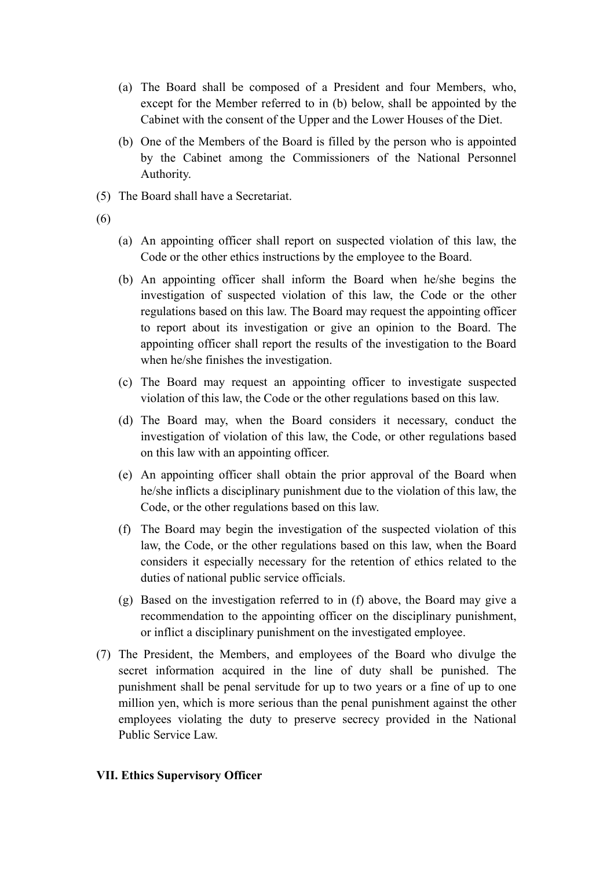- (a) The Board shall be composed of a President and four Members, who, except for the Member referred to in (b) below, shall be appointed by the Cabinet with the consent of the Upper and the Lower Houses of the Diet.
- (b) One of the Members of the Board is filled by the person who is appointed by the Cabinet among the Commissioners of the National Personnel Authority.
- (5) The Board shall have a Secretariat.
- (6)
- (a) An appointing officer shall report on suspected violation of this law, the Code or the other ethics instructions by the employee to the Board.
- (b) An appointing officer shall inform the Board when he/she begins the investigation of suspected violation of this law, the Code or the other regulations based on this law. The Board may request the appointing officer to report about its investigation or give an opinion to the Board. The appointing officer shall report the results of the investigation to the Board when he/she finishes the investigation.
- (c) The Board may request an appointing officer to investigate suspected violation of this law, the Code or the other regulations based on this law.
- (d) The Board may, when the Board considers it necessary, conduct the investigation of violation of this law, the Code, or other regulations based on this law with an appointing officer.
- (e) An appointing officer shall obtain the prior approval of the Board when he/she inflicts a disciplinary punishment due to the violation of this law, the Code, or the other regulations based on this law.
- (f) The Board may begin the investigation of the suspected violation of this law, the Code, or the other regulations based on this law, when the Board considers it especially necessary for the retention of ethics related to the duties of national public service officials.
- (g) Based on the investigation referred to in (f) above, the Board may give a recommendation to the appointing officer on the disciplinary punishment, or inflict a disciplinary punishment on the investigated employee.
- (7) The President, the Members, and employees of the Board who divulge the secret information acquired in the line of duty shall be punished. The punishment shall be penal servitude for up to two years or a fine of up to one million yen, which is more serious than the penal punishment against the other employees violating the duty to preserve secrecy provided in the National Public Service Law.

# **VII. Ethics Supervisory Officer**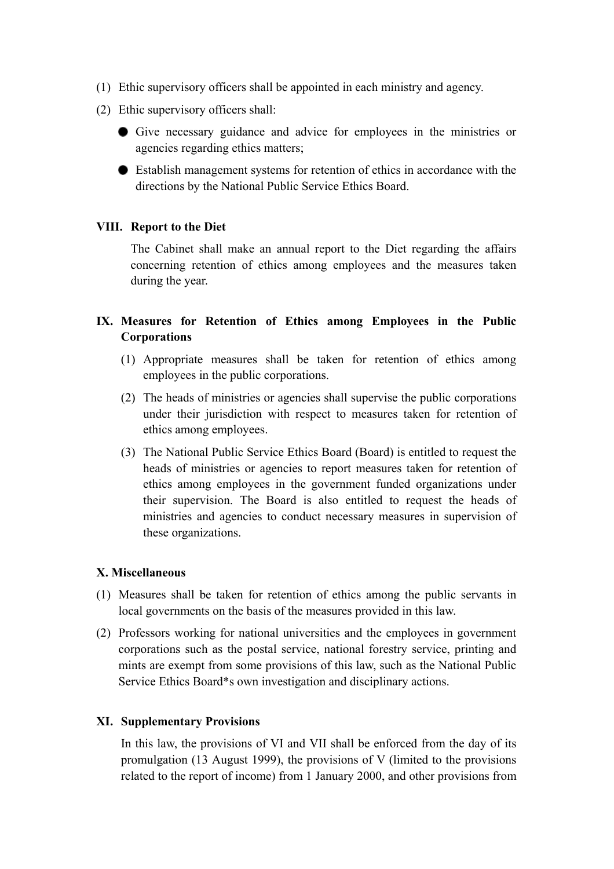- (1) Ethic supervisory officers shall be appointed in each ministry and agency.
- (2) Ethic supervisory officers shall:
	- Give necessary guidance and advice for employees in the ministries or agencies regarding ethics matters;
	- Establish management systems for retention of ethics in accordance with the directions by the National Public Service Ethics Board.

## **VIII. Report to the Diet**

The Cabinet shall make an annual report to the Diet regarding the affairs concerning retention of ethics among employees and the measures taken during the year.

# **IX. Measures for Retention of Ethics among Employees in the Public Corporations**

- (1) Appropriate measures shall be taken for retention of ethics among employees in the public corporations.
- (2) The heads of ministries or agencies shall supervise the public corporations under their jurisdiction with respect to measures taken for retention of ethics among employees.
- (3) The National Public Service Ethics Board (Board) is entitled to request the heads of ministries or agencies to report measures taken for retention of ethics among employees in the government funded organizations under their supervision. The Board is also entitled to request the heads of ministries and agencies to conduct necessary measures in supervision of these organizations.

## **X. Miscellaneous**

- (1) Measures shall be taken for retention of ethics among the public servants in local governments on the basis of the measures provided in this law.
- (2) Professors working for national universities and the employees in government corporations such as the postal service, national forestry service, printing and mints are exempt from some provisions of this law, such as the National Public Service Ethics Board\*s own investigation and disciplinary actions.

#### **XI. Supplementary Provisions**

In this law, the provisions of VI and VII shall be enforced from the day of its promulgation (13 August 1999), the provisions of V (limited to the provisions related to the report of income) from 1 January 2000, and other provisions from